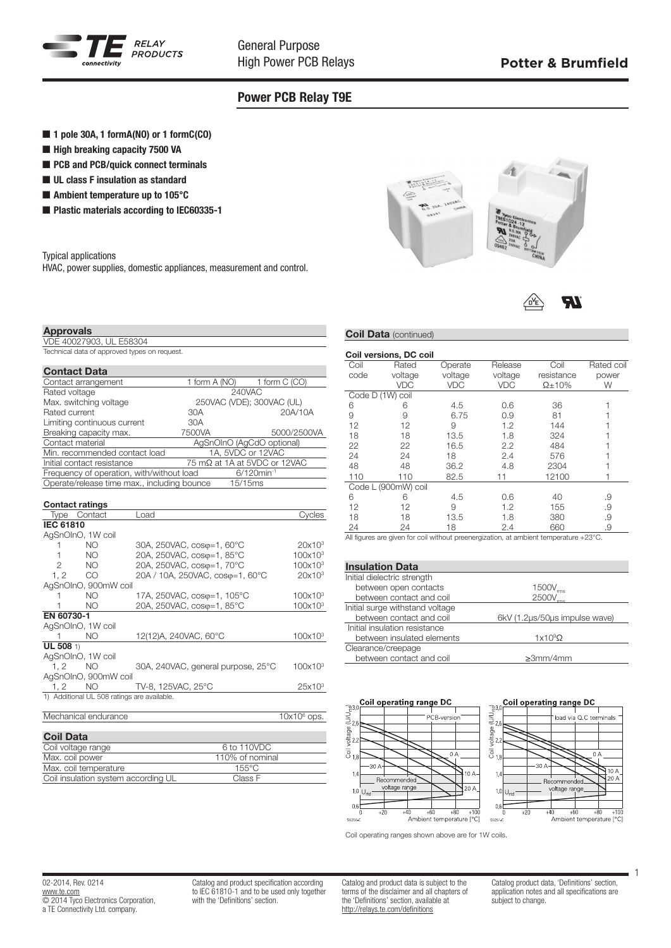

General Purpose High Power PCB Relays

71

# Power PCB Relay T9E

### ■ 1 pole 30A, 1 formA(NO) or 1 formC(CO)

- $\blacksquare$  High breaking capacity 7500 VA
- PCB and PCB/quick connect terminals
- $\blacksquare$  UL class F insulation as standard
- $\blacksquare$  Ambient temperature up to 105 $^{\circ}$ C
- Plastic materials according to IEC60335-1

#### Typical applications

HVAC, power supplies, domestic appliances, measurement and control.

#### Approvals

VDE 40027903, UL E58304 Technical data of approved types on request.

#### Contact Data

| oonaat pata                                 |               |                              |  |
|---------------------------------------------|---------------|------------------------------|--|
| Contact arrangement                         | 1 form A (NO) | 1 form C (CO)                |  |
| Rated voltage                               |               | 240VAC                       |  |
| Max. switching voltage                      |               | 250VAC (VDE); 300VAC (UL)    |  |
| Rated current                               | 30A           | 20A/10A                      |  |
| Limiting continuous current                 | 30A           |                              |  |
| Breaking capacity max.                      | 7500VA        | 5000/2500VA                  |  |
| Contact material                            |               | AgSnOInO (AgCdO optional)    |  |
| Min, recommended contact load               |               | 1A. 5VDC or 12VAC            |  |
| Initial contact resistance                  |               | 75 mΩ at 1A at 5VDC or 12VAC |  |
| Frequency of operation, with/without load   |               | $6/120$ min <sup>-1</sup>    |  |
| Operate/release time max., including bounce |               | 15/15ms                      |  |

|                  | <b>Contact ratings</b>                      |                                    |                     |
|------------------|---------------------------------------------|------------------------------------|---------------------|
|                  | Type Contact                                | Load                               | Cvcles              |
| <b>IEC 61810</b> |                                             |                                    |                     |
|                  | AgSnOInO, 1W coil                           |                                    |                     |
| 1                | NO.                                         | 30A, 250VAC, coso=1, 60°C          | 20x10 <sup>3</sup>  |
|                  | NO.                                         | 20A, 250VAC, coso=1, 85°C          | 100x10 <sup>3</sup> |
| $\overline{2}$   | NO.                                         | 20A, 250VAC, coso=1, 70°C          | 100x10 <sup>3</sup> |
| 1.2              | <sub>CO</sub>                               | 20A / 10A, 250VAC, coso=1, 60°C    | $20x10^3$           |
|                  | AgSnOInO, 900mW coil                        |                                    |                     |
|                  | NO.                                         | 17A, 250VAC, coso=1, 105°C         | 100x10 <sup>3</sup> |
|                  | NO.                                         | 20A, 250VAC, cosφ=1, 85°C          | $100x10^3$          |
| EN 60730-1       |                                             |                                    |                     |
|                  | AgSnOInO, 1W coil                           |                                    |                     |
|                  | NO.                                         | 12(12)A, 240VAC, 60°C              | 100x10 <sup>3</sup> |
| UL 508 1)        |                                             |                                    |                     |
|                  | AgSnOInO, 1W coil                           |                                    |                     |
| 1.2              | NO.                                         | 30A, 240VAC, general purpose, 25°C | 100x10 <sup>3</sup> |
|                  | AgSnOInO, 900mW coil                        |                                    |                     |
| 1, 2             | NO.                                         | TV-8, 125VAC, 25°C                 | 25x10 <sup>3</sup>  |
|                  | 1) Additional UL 508 ratings are available. |                                    |                     |
|                  |                                             |                                    |                     |
|                  | Mechanical endurance                        |                                    | $10x106$ ops.       |

#### Coil Data Coil voltage range 6 to 110VDC<br>Max. coil power 110% of nominal  $\frac{110\% \text{ of nominal}}{155^{\circ} \text{C}}$ Max. coil temperature 155°C<br>Coil insulation system according UL Class F Coil insulation system according UL



### **Coil Data (continued)**

| Coil versions, DC coil |                  |            |                 |                |            |  |  |  |  |
|------------------------|------------------|------------|-----------------|----------------|------------|--|--|--|--|
| Coil                   | Rated<br>Operate |            | Coil<br>Release |                | Rated coil |  |  |  |  |
| code                   | voltage          | voltage    | voltage         | resistance     | power      |  |  |  |  |
|                        | <b>VDC</b>       | <b>VDC</b> | <b>VDC</b>      | $\Omega$ + 10% | W          |  |  |  |  |
|                        | Code D (1W) coil |            |                 |                |            |  |  |  |  |
| 6                      | 6                | 4.5        | 0.6             | 36             |            |  |  |  |  |
| 9                      | 9                | 6.75       | 0.9             | 81             |            |  |  |  |  |
| 12                     | 12               | 9          | 1.2             | 144            |            |  |  |  |  |
| 18                     | 18               | 13.5       | 1.8             | 324            |            |  |  |  |  |
| 22                     | 22               | 16.5       | 2.2             | 484            |            |  |  |  |  |
| 24                     | 24               | 18         | 2.4             | 576            |            |  |  |  |  |
| 48                     | 48               | 36.2       | 4.8             | 2304           |            |  |  |  |  |
| 110                    | 110              | 82.5       | 11              | 12100          |            |  |  |  |  |
| Code L (900mW) coil    |                  |            |                 |                |            |  |  |  |  |
| 6                      | 6                | 4.5        | 0.6             | 40             | .9         |  |  |  |  |
| 12                     | 12               | 9          | 1.2             | 155            | .9         |  |  |  |  |
| 18                     | 18               | 13.5       | 1.8             | 380            | .9         |  |  |  |  |
| 24                     | 24               | 18         | 2.4             | 660            | .9         |  |  |  |  |

All figures are given for coil without preenergization, at ambient temperature +23°C.

## Insulation Data

| Initial dielectric strength     |                               |  |
|---------------------------------|-------------------------------|--|
| between open contacts           | 1500V_                        |  |
| between contact and coil        | 2500V                         |  |
| Initial surge withstand voltage |                               |  |
| between contact and coil        | 6kV (1.2µs/50µs impulse wave) |  |
| Initial insulation resistance   |                               |  |
| between insulated elements      | $1x10^9\Omega$                |  |
| Clearance/creepage              |                               |  |
| between contact and coil        | $\geq 3$ mm/4mm               |  |
|                                 |                               |  |



# Coil operating range DC load via Q.C terminals



Coil operating ranges shown above are for 1W coils.

Catalog and product specification according to IEC 61810-1 and to be used only together with the 'Definitions' section.

Catalog and product data is subject to the terms of the disclaimer and all chapters of the 'Definitions' section, available at http://relays.te.com/definitions

Catalog product data, 'Definitions' section, application notes and all specifications are subject to change.

1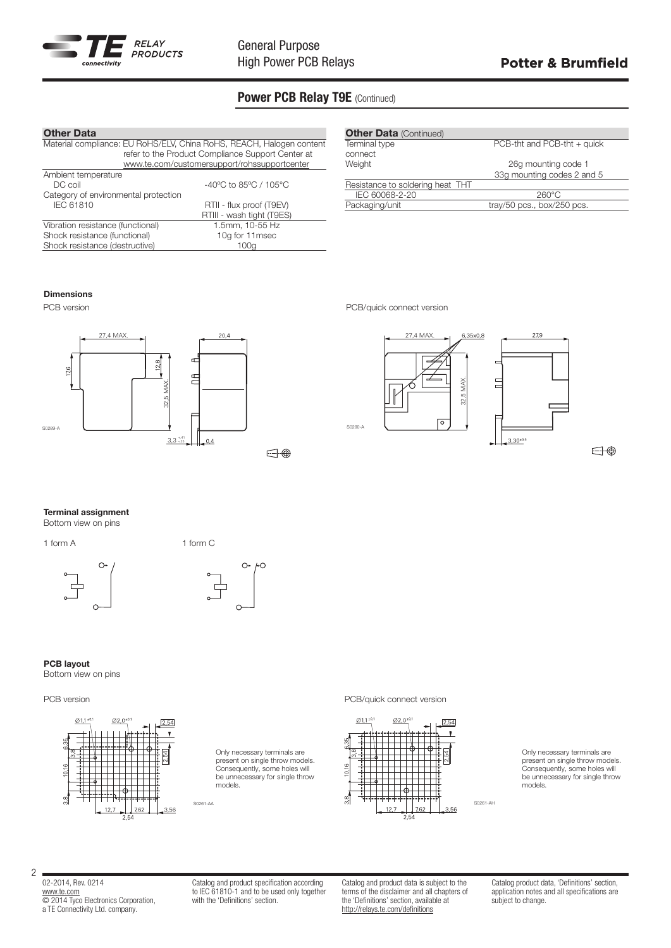

# Power PCB Relay T9E (Continued)

| <b>Other Data</b>                                                    |                                                   |  |  |  |  |  |
|----------------------------------------------------------------------|---------------------------------------------------|--|--|--|--|--|
| Material compliance: EU RoHS/ELV, China RoHS, REACH, Halogen content |                                                   |  |  |  |  |  |
|                                                                      | refer to the Product Compliance Support Center at |  |  |  |  |  |
|                                                                      | www.te.com/customersupport/rohssupportcenter      |  |  |  |  |  |
| Ambient temperature                                                  |                                                   |  |  |  |  |  |
| DC coil                                                              | -40°C to 85°C / 105°C                             |  |  |  |  |  |
| Category of environmental protection                                 |                                                   |  |  |  |  |  |
| IEC 61810                                                            | RTII - flux proof (T9EV)                          |  |  |  |  |  |
|                                                                      | RTIII - wash tight (T9ES)                         |  |  |  |  |  |
| Vibration resistance (functional)                                    | 1.5mm, 10-55 Hz                                   |  |  |  |  |  |
| Shock resistance (functional)                                        | 10g for 11msec                                    |  |  |  |  |  |
| Shock resistance (destructive)                                       | 100a                                              |  |  |  |  |  |

| <b>Other Data (Continued)</b> |  |  |  |  |  |  |  |
|-------------------------------|--|--|--|--|--|--|--|
| PCB-tht and PCB-tht $+$ quick |  |  |  |  |  |  |  |
|                               |  |  |  |  |  |  |  |
| 26g mounting code 1           |  |  |  |  |  |  |  |
| 33q mounting codes 2 and 5    |  |  |  |  |  |  |  |
|                               |  |  |  |  |  |  |  |
| 260°C                         |  |  |  |  |  |  |  |
| tray/50 pcs., box/250 pcs.    |  |  |  |  |  |  |  |
|                               |  |  |  |  |  |  |  |

### Dimensions



PCB version **PCB** version **PCB** version





Terminal assignment

Bottom view on pins

1 form A 1 form C





#### PCB layout

Bottom view on pins

### PCB version **PCB** version **PCB** version



Only necessary terminals are present on single throw models. Consequently, some holes will be unnecessary for single throw models.





Only necessary terminals are present on single throw models. Consequently, some holes will be unnecessary for single throw models.

02-2014, Rev. 0214 www.te.com © 2014 Tyco Electronics Corporation, a TE Connectivity Ltd. company.

2

Catalog and product specification according to IEC 61810-1 and to be used only together with the 'Definitions' section.

Catalog and product data is subject to the terms of the disclaimer and all chapters of the 'Definitions' section, available at http://relays.te.com/definitions

Catalog product data, 'Definitions' section. application notes and all specifications are subject to change.